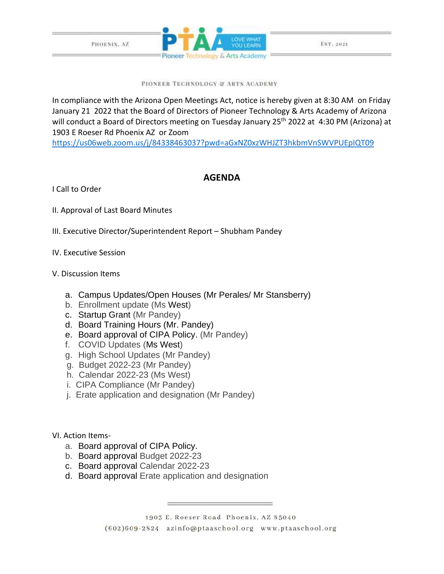



EST. 2021

PIONEER TECHNOLOGY & ARTS ACADEMY

In compliance with the Arizona Open Meetings Act, notice is hereby given at 8:30 AM on Friday January 21 2022 that the Board of Directors of Pioneer Technology & Arts Academy of Arizona will conduct a Board of Directors meeting on Tuesday January 25<sup>th</sup> 2022 at 4:30 PM (Arizona) at 1903 E Roeser Rd Phoenix AZ or Zoom

<https://us06web.zoom.us/j/84338463037?pwd=aGxNZ0xzWHJZT3hkbmVnSWVPUEpIQT09>

## **AGENDA**

I Call to Order

- II. Approval of Last Board Minutes
- III. Executive Director/Superintendent Report Shubham Pandey
- IV. Executive Session

## V. Discussion Items

- a. Campus Updates/Open Houses (Mr Perales/ Mr Stansberry)
- b. Enrollment update (Ms West)
- c. Startup Grant (Mr Pandey)
- d. Board Training Hours (Mr. Pandey)
- e. Board approval of CIPA Policy. (Mr Pandey)
- f. COVID Updates (Ms West)
- g. High School Updates (Mr Pandey)
- g. Budget 2022-23 (Mr Pandey)
- h. Calendar 2022-23 (Ms West)
- i. CIPA Compliance (Mr Pandey)
- j. Erate application and designation (Mr Pandey)
- VI. Action Items
	- a. Board approval of CIPA Policy.
	- b. Board approval Budget 2022-23
	- c. Board approval Calendar 2022-23
	- d. Board approval Erate application and designation

1903 E. Roeser Road Phoenix, AZ 85040 (602)609-2824 azinfo@ptaaschool.org www.ptaaschool.org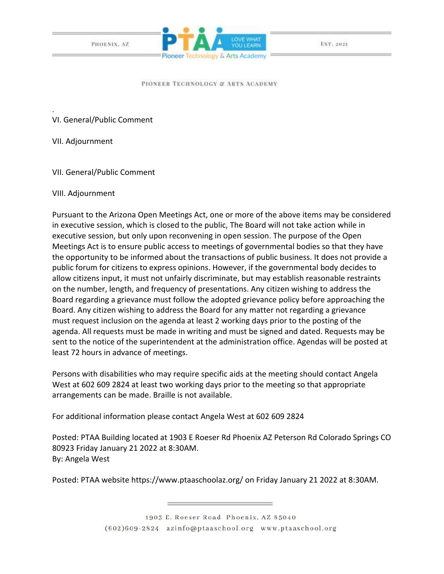PHOENIX, AZ



EST. 2021

## PIONEER TECHNOLOGY & ARTS ACADEMY

VI. General/Public Comment

VII. Adjournment

.

VII. General/Public Comment

VIII. Adjournment

Pursuant to the Arizona Open Meetings Act, one or more of the above items may be considered in executive session, which is closed to the public, The Board will not take action while in executive session, but only upon reconvening in open session. The purpose of the Open Meetings Act is to ensure public access to meetings of governmental bodies so that they have the opportunity to be informed about the transactions of public business. It does not provide a public forum for citizens to express opinions. However, if the governmental body decides to allow citizens input, it must not unfairly discriminate, but may establish reasonable restraints on the number, length, and frequency of presentations. Any citizen wishing to address the Board regarding a grievance must follow the adopted grievance policy before approaching the Board. Any citizen wishing to address the Board for any matter not regarding a grievance must request inclusion on the agenda at least 2 working days prior to the posting of the agenda. All requests must be made in writing and must be signed and dated. Requests may be sent to the notice of the superintendent at the administration office. Agendas will be posted at least 72 hours in advance of meetings.

Persons with disabilities who may require specific aids at the meeting should contact Angela West at 602 609 2824 at least two working days prior to the meeting so that appropriate arrangements can be made. Braille is not available.

For additional information please contact Angela West at 602 609 2824

Posted: PTAA Building located at 1903 E Roeser Rd Phoenix AZ Peterson Rd Colorado Springs CO 80923 Friday January 21 2022 at 8:30AM. By: Angela West

Posted: PTAA website https://www.ptaaschoolaz.org/ on Friday January 21 2022 at 8:30AM.